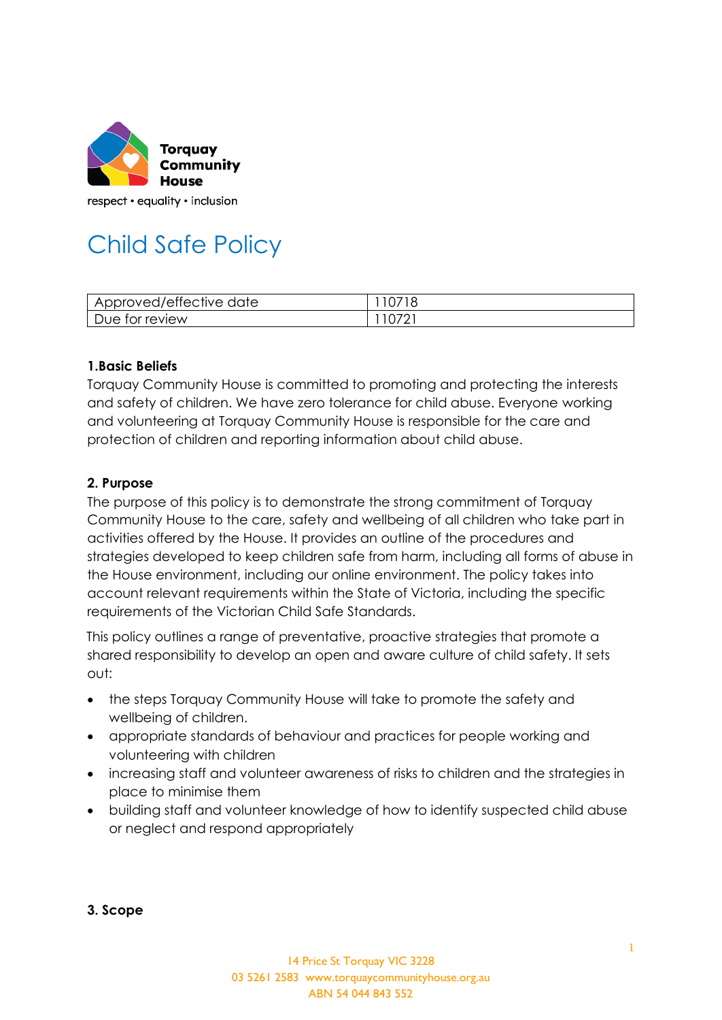

# Child Safe Policy

| Approved/effective date | 0718 |
|-------------------------|------|
| Due for review          | V/L  |

#### **1.Basic Beliefs**

Torquay Community House is committed to promoting and protecting the interests and safety of children. We have zero tolerance for child abuse. Everyone working and volunteering at Torquay Community House is responsible for the care and protection of children and reporting information about child abuse.

#### **2. Purpose**

The purpose of this policy is to demonstrate the strong commitment of Torquay Community House to the care, safety and wellbeing of all children who take part in activities offered by the House. It provides an outline of the procedures and strategies developed to keep children safe from harm, including all forms of abuse in the House environment, including our online environment. The policy takes into account relevant requirements within the State of Victoria, including the specific requirements of the Victorian Child Safe Standards.

This policy outlines a range of preventative, proactive strategies that promote a shared responsibility to develop an open and aware culture of child safety. It sets out:

- the steps Torquay Community House will take to promote the safety and wellbeing of children.
- appropriate standards of behaviour and practices for people working and volunteering with children
- increasing staff and volunteer awareness of risks to children and the strategies in place to minimise them
- building staff and volunteer knowledge of how to identify suspected child abuse or neglect and respond appropriately

**3. Scope**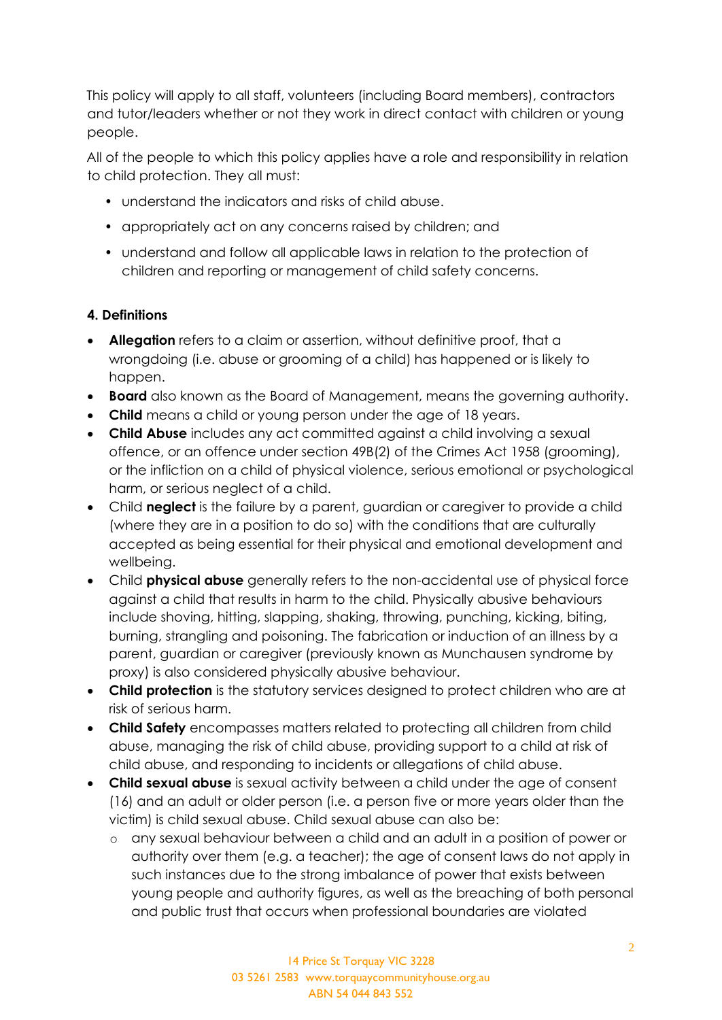This policy will apply to all staff, volunteers (including Board members), contractors and tutor/leaders whether or not they work in direct contact with children or young people.

All of the people to which this policy applies have a role and responsibility in relation to child protection. They all must:

- understand the indicators and risks of child abuse.
- appropriately act on any concerns raised by children; and
- understand and follow all applicable laws in relation to the protection of children and reporting or management of child safety concerns.

#### **4. Definitions**

- **Allegation** refers to a claim or assertion, without definitive proof, that a wrongdoing (i.e. abuse or grooming of a child) has happened or is likely to happen.
- **Board** also known as the Board of Management, means the governing authority.
- **Child** means a child or young person under the age of 18 years.
- **Child Abuse** includes any act committed against a child involving a sexual offence, or an offence under section 49B(2) of the Crimes Act 1958 (grooming), or the infliction on a child of physical violence, serious emotional or psychological harm, or serious neglect of a child.
- Child **neglect** is the failure by a parent, guardian or caregiver to provide a child (where they are in a position to do so) with the conditions that are culturally accepted as being essential for their physical and emotional development and wellbeing.
- Child **physical abuse** generally refers to the non-accidental use of physical force against a child that results in harm to the child. Physically abusive behaviours include shoving, hitting, slapping, shaking, throwing, punching, kicking, biting, burning, strangling and poisoning. The fabrication or induction of an illness by a parent, guardian or caregiver (previously known as Munchausen syndrome by proxy) is also considered physically abusive behaviour.
- **Child protection** is the statutory services designed to protect children who are at risk of serious harm.
- **Child Safety** encompasses matters related to protecting all children from child abuse, managing the risk of child abuse, providing support to a child at risk of child abuse, and responding to incidents or allegations of child abuse.
- **Child sexual abuse** is sexual activity between a child under the age of consent (16) and an adult or older person (i.e. a person five or more years older than the victim) is child sexual abuse. Child sexual abuse can also be:
	- o any sexual behaviour between a child and an adult in a position of power or authority over them (e.g. a teacher); the age of consent laws do not apply in such instances due to the strong imbalance of power that exists between young people and authority figures, as well as the breaching of both personal and public trust that occurs when professional boundaries are violated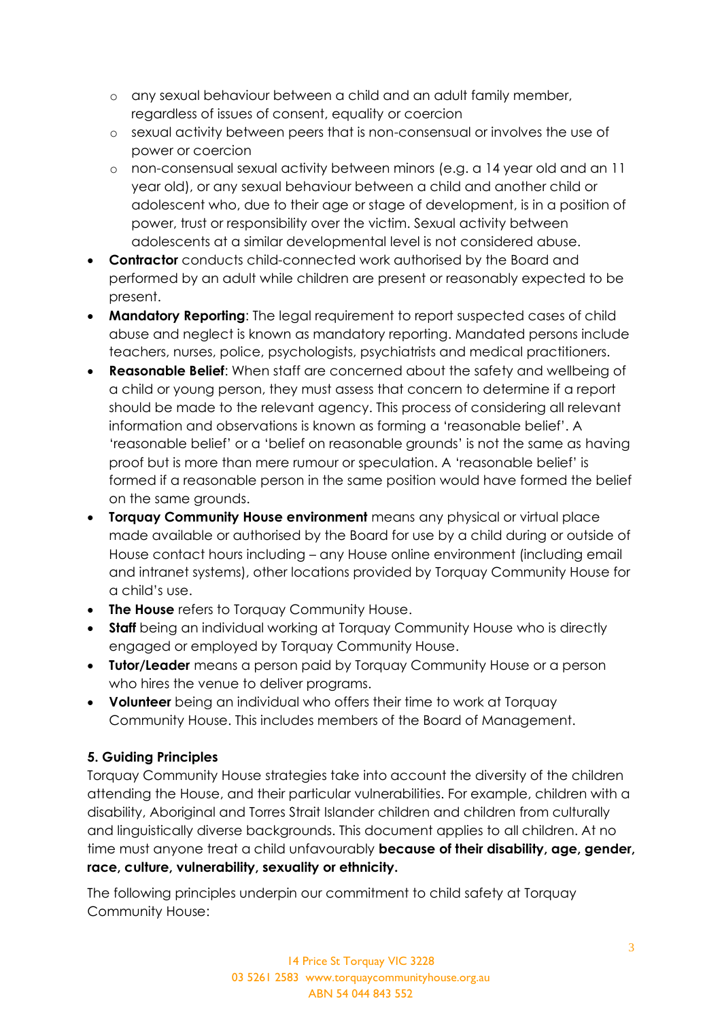- o any sexual behaviour between a child and an adult family member, regardless of issues of consent, equality or coercion
- o sexual activity between peers that is non-consensual or involves the use of power or coercion
- o non-consensual sexual activity between minors (e.g. a 14 year old and an 11 year old), or any sexual behaviour between a child and another child or adolescent who, due to their age or stage of development, is in a position of power, trust or responsibility over the victim. Sexual activity between adolescents at a similar developmental level is not considered abuse.
- **Contractor** conducts child-connected work authorised by the Board and performed by an adult while children are present or reasonably expected to be present.
- **Mandatory Reporting**: The legal requirement to report suspected cases of child abuse and neglect is known as mandatory reporting. Mandated persons include teachers, nurses, police, psychologists, psychiatrists and medical practitioners.
- **Reasonable Belief**: When staff are concerned about the safety and wellbeing of a child or young person, they must assess that concern to determine if a report should be made to the relevant agency. This process of considering all relevant information and observations is known as forming a 'reasonable belief'. A 'reasonable belief' or a 'belief on reasonable grounds' is not the same as having proof but is more than mere rumour or speculation. A 'reasonable belief' is formed if a reasonable person in the same position would have formed the belief on the same grounds.
- **Torquay Community House environment** means any physical or virtual place made available or authorised by the Board for use by a child during or outside of House contact hours including – any House online environment (including email and intranet systems), other locations provided by Torquay Community House for a child's use.
- **The House** refers to Torquay Community House.
- **Staff** being an individual working at Torquay Community House who is directly engaged or employed by Torquay Community House.
- **Tutor/Leader** means a person paid by Torquay Community House or a person who hires the venue to deliver programs.
- **Volunteer** being an individual who offers their time to work at Torquay Community House. This includes members of the Board of Management.

## **5. Guiding Principles**

Torquay Community House strategies take into account the diversity of the children attending the House, and their particular vulnerabilities. For example, children with a disability, Aboriginal and Torres Strait Islander children and children from culturally and linguistically diverse backgrounds. This document applies to all children. At no time must anyone treat a child unfavourably **because of their disability, age, gender, race, culture, vulnerability, sexuality or ethnicity.**

The following principles underpin our commitment to child safety at Torquay Community House: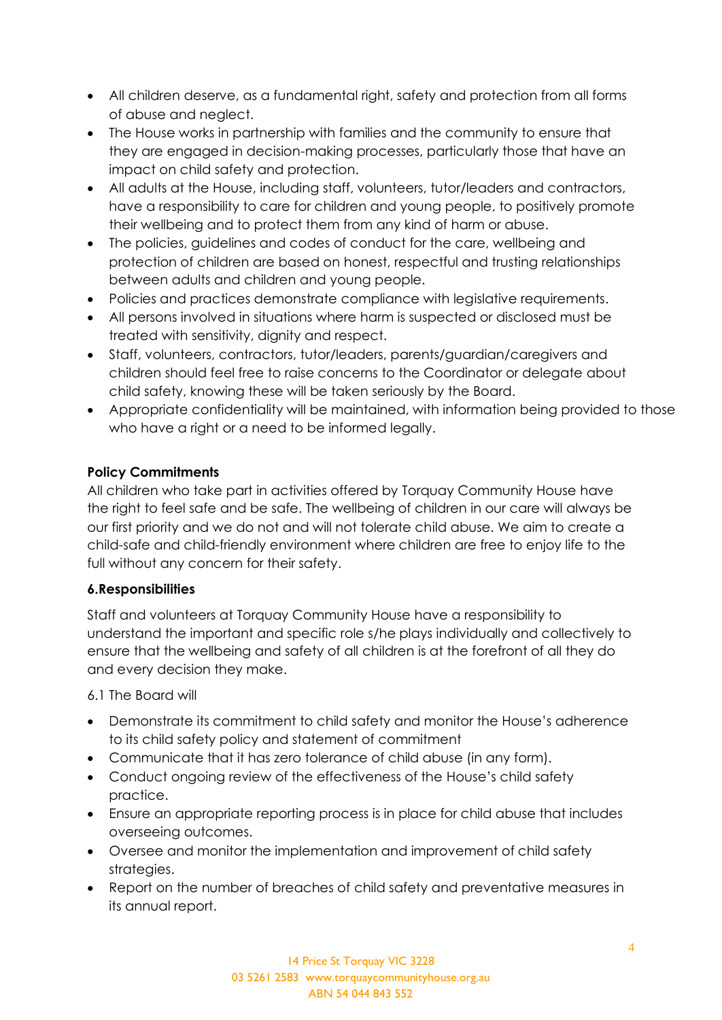- All children deserve, as a fundamental right, safety and protection from all forms of abuse and neglect.
- The House works in partnership with families and the community to ensure that they are engaged in decision-making processes, particularly those that have an impact on child safety and protection.
- All adults at the House, including staff, volunteers, tutor/leaders and contractors, have a responsibility to care for children and young people, to positively promote their wellbeing and to protect them from any kind of harm or abuse.
- The policies, guidelines and codes of conduct for the care, wellbeing and protection of children are based on honest, respectful and trusting relationships between adults and children and young people.
- Policies and practices demonstrate compliance with legislative requirements.
- All persons involved in situations where harm is suspected or disclosed must be treated with sensitivity, dignity and respect.
- Staff, volunteers, contractors, tutor/leaders, parents/guardian/caregivers and children should feel free to raise concerns to the Coordinator or delegate about child safety, knowing these will be taken seriously by the Board.
- Appropriate confidentiality will be maintained, with information being provided to those who have a right or a need to be informed legally.

## **Policy Commitments**

All children who take part in activities offered by Torquay Community House have the right to feel safe and be safe. The wellbeing of children in our care will always be our first priority and we do not and will not tolerate child abuse. We aim to create a child-safe and child-friendly environment where children are free to enjoy life to the full without any concern for their safety.

## **6.Responsibilities**

Staff and volunteers at Torquay Community House have a responsibility to understand the important and specific role s/he plays individually and collectively to ensure that the wellbeing and safety of all children is at the forefront of all they do and every decision they make.

6.1 The Board will

- Demonstrate its commitment to child safety and monitor the House's adherence to its child safety policy and statement of commitment
- Communicate that it has zero tolerance of child abuse (in any form).
- Conduct ongoing review of the effectiveness of the House's child safety practice.
- Ensure an appropriate reporting process is in place for child abuse that includes overseeing outcomes.
- Oversee and monitor the implementation and improvement of child safety strategies.
- Report on the number of breaches of child safety and preventative measures in its annual report.

14 Price St Torquay VIC 3228 03 5261 2583 www.torquaycommunityhouse.org.au ABN 54 044 843 552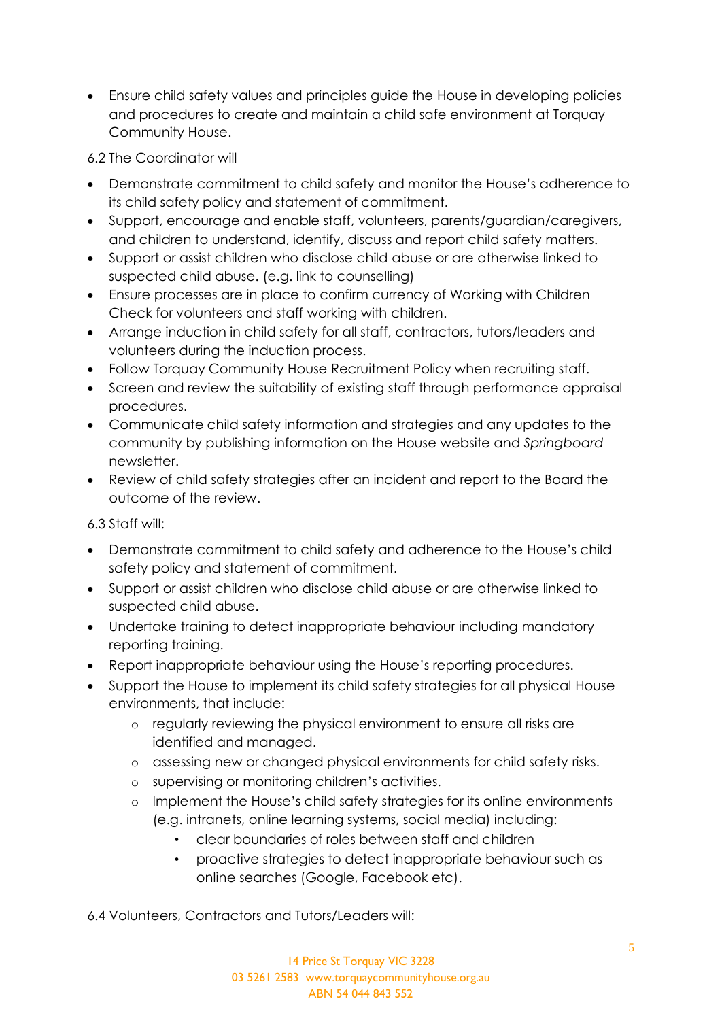• Ensure child safety values and principles guide the House in developing policies and procedures to create and maintain a child safe environment at Torquay Community House.

6.2 The Coordinator will

- Demonstrate commitment to child safety and monitor the House's adherence to its child safety policy and statement of commitment.
- Support, encourage and enable staff, volunteers, parents/guardian/caregivers, and children to understand, identify, discuss and report child safety matters.
- Support or assist children who disclose child abuse or are otherwise linked to suspected child abuse. (e.g. link to counselling)
- Ensure processes are in place to confirm currency of Working with Children Check for volunteers and staff working with children.
- Arrange induction in child safety for all staff, contractors, tutors/leaders and volunteers during the induction process.
- Follow Torquay Community House Recruitment Policy when recruiting staff.
- Screen and review the suitability of existing staff through performance appraisal procedures.
- Communicate child safety information and strategies and any updates to the community by publishing information on the House website and *Springboard* newsletter.
- Review of child safety strategies after an incident and report to the Board the outcome of the review.

6.3 Staff will:

- Demonstrate commitment to child safety and adherence to the House's child safety policy and statement of commitment.
- Support or assist children who disclose child abuse or are otherwise linked to suspected child abuse.
- Undertake training to detect inappropriate behaviour including mandatory reporting training.
- Report inappropriate behaviour using the House's reporting procedures.
- Support the House to implement its child safety strategies for all physical House environments, that include:
	- o regularly reviewing the physical environment to ensure all risks are identified and managed.
	- o assessing new or changed physical environments for child safety risks.
	- o supervising or monitoring children's activities.
	- o Implement the House's child safety strategies for its online environments (e.g. intranets, online learning systems, social media) including:
		- clear boundaries of roles between staff and children
		- proactive strategies to detect inappropriate behaviour such as online searches (Google, Facebook etc).

6.4 Volunteers, Contractors and Tutors/Leaders will: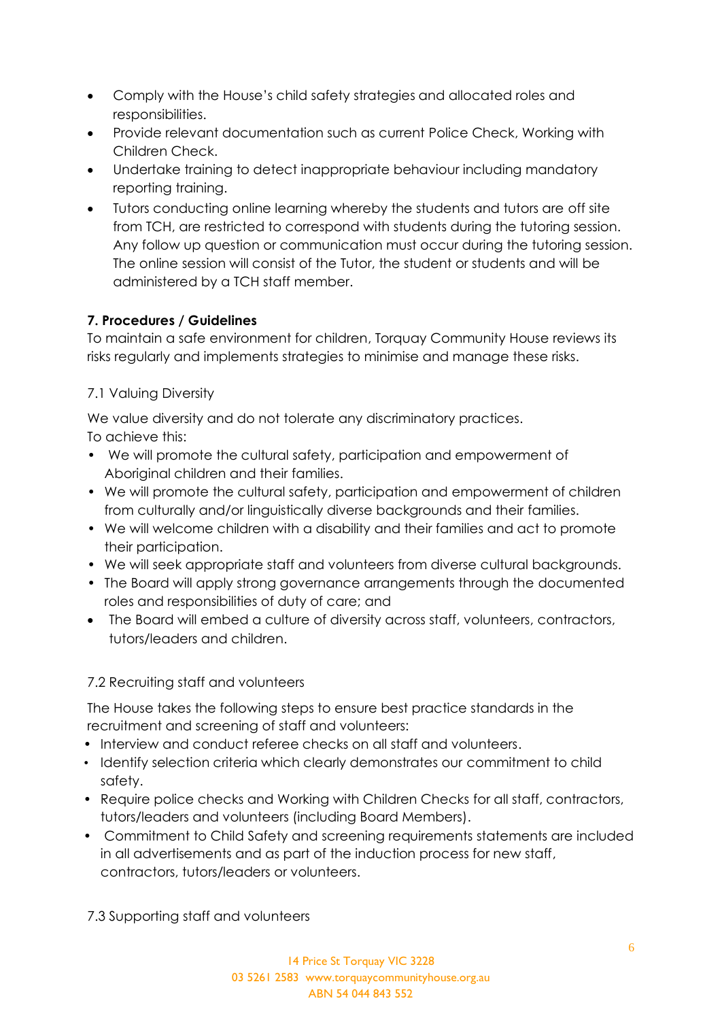- Comply with the House's child safety strategies and allocated roles and responsibilities.
- Provide relevant documentation such as current Police Check, Working with Children Check.
- Undertake training to detect inappropriate behaviour including mandatory reporting training.
- Tutors conducting online learning whereby the students and tutors are off site from TCH, are restricted to correspond with students during the tutoring session. Any follow up question or communication must occur during the tutoring session. The online session will consist of the Tutor, the student or students and will be administered by a TCH staff member.

## **7. Procedures / Guidelines**

To maintain a safe environment for children, Torquay Community House reviews its risks regularly and implements strategies to minimise and manage these risks.

# 7.1 Valuing Diversity

We value diversity and do not tolerate any discriminatory practices.

To achieve this:

- We will promote the cultural safety, participation and empowerment of Aboriginal children and their families.
- We will promote the cultural safety, participation and empowerment of children from culturally and/or linguistically diverse backgrounds and their families.
- We will welcome children with a disability and their families and act to promote their participation.
- We will seek appropriate staff and volunteers from diverse cultural backgrounds.
- The Board will apply strong governance arrangements through the documented roles and responsibilities of duty of care; and
- The Board will embed a culture of diversity across staff, volunteers, contractors, tutors/leaders and children.

# 7.2 Recruiting staff and volunteers

The House takes the following steps to ensure best practice standards in the recruitment and screening of staff and volunteers:

- Interview and conduct referee checks on all staff and volunteers.
- Identify selection criteria which clearly demonstrates our commitment to child safety.
- Require police checks and Working with Children Checks for all staff, contractors, tutors/leaders and volunteers (including Board Members).
- Commitment to Child Safety and screening requirements statements are included in all advertisements and as part of the induction process for new staff, contractors, tutors/leaders or volunteers.

7.3 Supporting staff and volunteers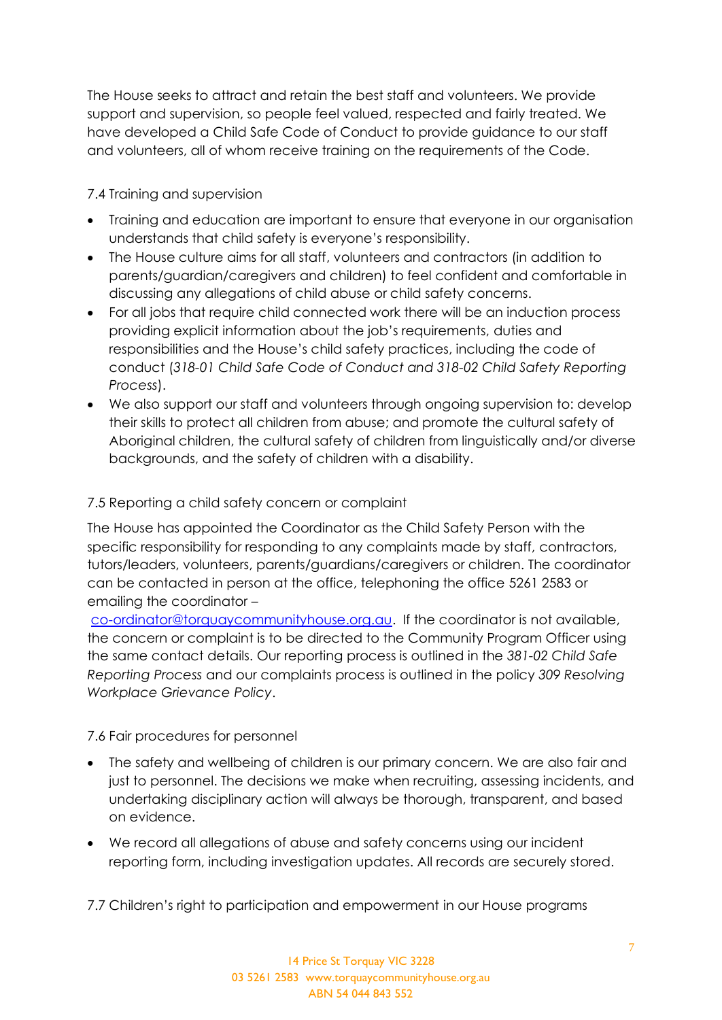The House seeks to attract and retain the best staff and volunteers. We provide support and supervision, so people feel valued, respected and fairly treated. We have developed a Child Safe Code of Conduct to provide guidance to our staff and volunteers, all of whom receive training on the requirements of the Code.

7.4 Training and supervision

- Training and education are important to ensure that everyone in our organisation understands that child safety is everyone's responsibility.
- The House culture aims for all staff, volunteers and contractors (in addition to parents/guardian/caregivers and children) to feel confident and comfortable in discussing any allegations of child abuse or child safety concerns.
- For all jobs that require child connected work there will be an induction process providing explicit information about the job's requirements, duties and responsibilities and the House's child safety practices, including the code of conduct (*318-01 Child Safe Code of Conduct and 318-02 Child Safety Reporting Process*).
- We also support our staff and volunteers through ongoing supervision to: develop their skills to protect all children from abuse; and promote the cultural safety of Aboriginal children, the cultural safety of children from linguistically and/or diverse backgrounds, and the safety of children with a disability.

## 7.5 Reporting a child safety concern or complaint

The House has appointed the Coordinator as the Child Safety Person with the specific responsibility for responding to any complaints made by staff, contractors, tutors/leaders, volunteers, parents/guardians/caregivers or children. The coordinator can be contacted in person at the office, telephoning the office 5261 2583 or emailing the coordinator –

[co-ordinator@torquaycommunityhouse.org.au.](mailto:co-ordinator@torquaycommunityhouse.org.au) If the coordinator is not available, the concern or complaint is to be directed to the Community Program Officer using the same contact details. Our reporting process is outlined in the *381-02 Child Safe Reporting Process* and our complaints process is outlined in the policy *309 Resolving Workplace Grievance Policy*.

7.6 Fair procedures for personnel

- The safety and wellbeing of children is our primary concern. We are also fair and just to personnel. The decisions we make when recruiting, assessing incidents, and undertaking disciplinary action will always be thorough, transparent, and based on evidence.
- We record all allegations of abuse and safety concerns using our incident reporting form, including investigation updates. All records are securely stored.

7.7 Children's right to participation and empowerment in our House programs

14 Price St Torquay VIC 3228 03 5261 2583 www.torquaycommunityhouse.org.au ABN 54 044 843 552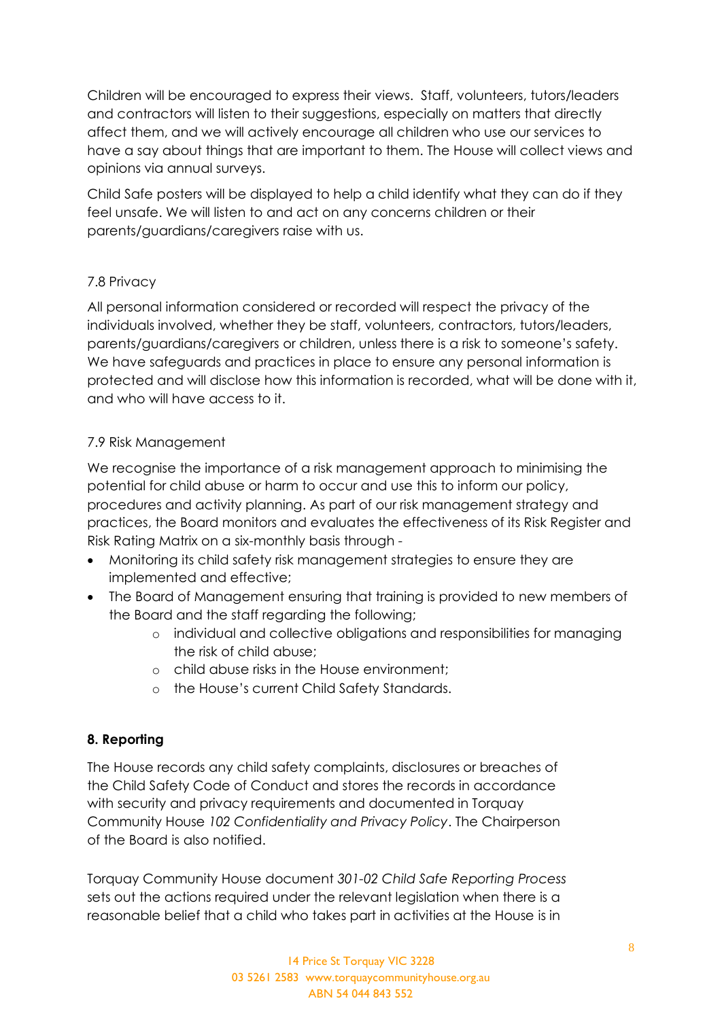Children will be encouraged to express their views. Staff, volunteers, tutors/leaders and contractors will listen to their suggestions, especially on matters that directly affect them, and we will actively encourage all children who use our services to have a say about things that are important to them. The House will collect views and opinions via annual surveys.

Child Safe posters will be displayed to help a child identify what they can do if they feel unsafe. We will listen to and act on any concerns children or their parents/guardians/caregivers raise with us.

#### 7.8 Privacy

All personal information considered or recorded will respect the privacy of the individuals involved, whether they be staff, volunteers, contractors, tutors/leaders, parents/guardians/caregivers or children, unless there is a risk to someone's safety. We have safeguards and practices in place to ensure any personal information is protected and will disclose how this information is recorded, what will be done with it, and who will have access to it.

#### 7.9 Risk Management

We recognise the importance of a risk management approach to minimising the potential for child abuse or harm to occur and use this to inform our policy, procedures and activity planning. As part of our risk management strategy and practices, the Board monitors and evaluates the effectiveness of its Risk Register and Risk Rating Matrix on a six-monthly basis through -

- Monitoring its child safety risk management strategies to ensure they are implemented and effective;
- The Board of Management ensuring that training is provided to new members of the Board and the staff regarding the following;
	- o individual and collective obligations and responsibilities for managing the risk of child abuse;
	- o child abuse risks in the House environment;
	- o the House's current Child Safety Standards.

## **8. Reporting**

The House records any child safety complaints, disclosures or breaches of the Child Safety Code of Conduct and stores the records in accordance with security and privacy requirements and documented in Torquay Community House *102 Confidentiality and Privacy Policy*. The Chairperson of the Board is also notified.

Torquay Community House document *301-02 Child Safe Reporting Process* sets out the actions required under the relevant legislation when there is a reasonable belief that a child who takes part in activities at the House is in

> 14 Price St Torquay VIC 3228 03 5261 2583 www.torquaycommunityhouse.org.au ABN 54 044 843 552